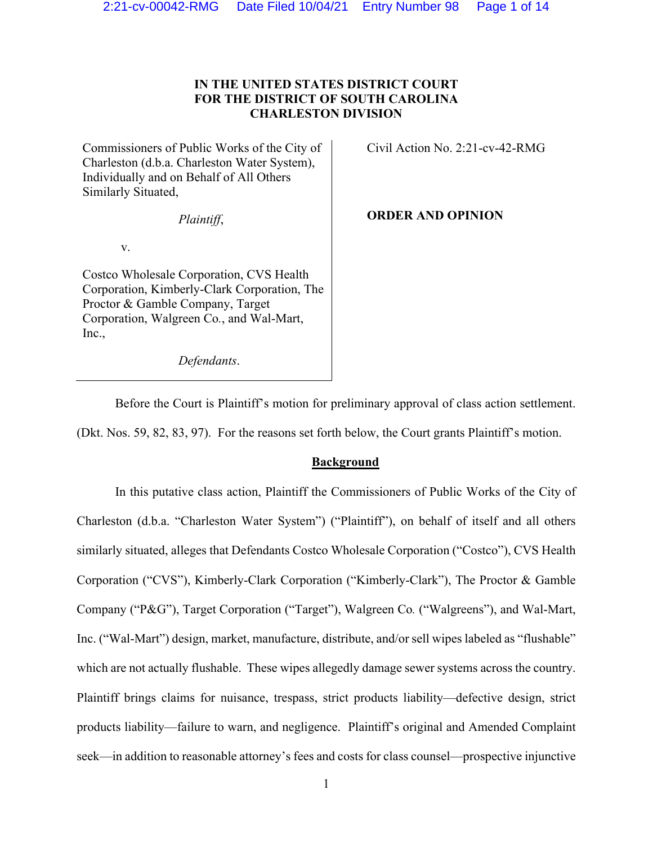# **IN THE UNITED STATES DISTRICT COURT FOR THE DISTRICT OF SOUTH CAROLINA CHARLESTON DIVISION**

Commissioners of Public Works of the City of Charleston (d.b.a. Charleston Water System), Individually and on Behalf of All Others Similarly Situated,

*Plaintiff*,

v.

Costco Wholesale Corporation, CVS Health Corporation, Kimberly-Clark Corporation, The Proctor & Gamble Company, Target Corporation, Walgreen Co*.*, and Wal-Mart, Inc.,

*Defendants*.

Civil Action No. 2:21-cv-42-RMG

**ORDER AND OPINION** 

Before the Court is Plaintiff's motion for preliminary approval of class action settlement. (Dkt. Nos. 59, 82, 83, 97). For the reasons set forth below, the Court grants Plaintiff's motion.

## **Background**

In this putative class action, Plaintiff the Commissioners of Public Works of the City of Charleston (d.b.a. "Charleston Water System") ("Plaintiff"), on behalf of itself and all others similarly situated, alleges that Defendants Costco Wholesale Corporation ("Costco"), CVS Health Corporation ("CVS"), Kimberly-Clark Corporation ("Kimberly-Clark"), The Proctor & Gamble Company ("P&G"), Target Corporation ("Target"), Walgreen Co*.* ("Walgreens"), and Wal-Mart, Inc. ("Wal-Mart") design, market, manufacture, distribute, and/or sell wipes labeled as "flushable" which are not actually flushable. These wipes allegedly damage sewer systems across the country. Plaintiff brings claims for nuisance, trespass, strict products liability—defective design, strict products liability—failure to warn, and negligence. Plaintiff's original and Amended Complaint seek—in addition to reasonable attorney's fees and costs for class counsel—prospective injunctive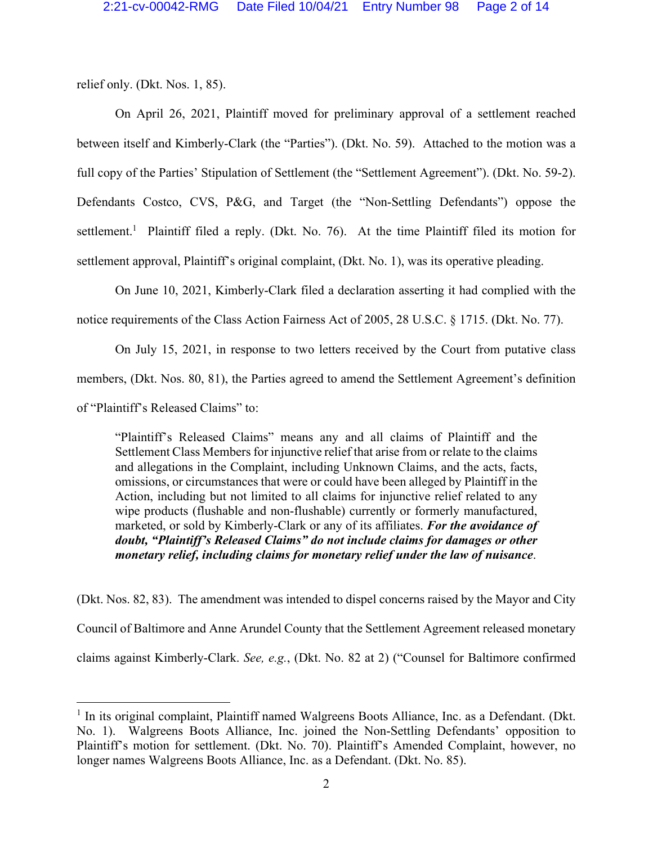relief only. (Dkt. Nos. 1, 85).

On April 26, 2021, Plaintiff moved for preliminary approval of a settlement reached between itself and Kimberly-Clark (the "Parties"). (Dkt. No. 59). Attached to the motion was a full copy of the Parties' Stipulation of Settlement (the "Settlement Agreement"). (Dkt. No. 59-2). Defendants Costco, CVS, P&G, and Target (the "Non-Settling Defendants") oppose the settlement.<sup>1</sup> Plaintiff filed a reply. (Dkt. No. 76). At the time Plaintiff filed its motion for settlement approval, Plaintiff's original complaint, (Dkt. No. 1), was its operative pleading.

On June 10, 2021, Kimberly-Clark filed a declaration asserting it had complied with the notice requirements of the Class Action Fairness Act of 2005, 28 U.S.C. § 1715. (Dkt. No. 77).

On July 15, 2021, in response to two letters received by the Court from putative class members, (Dkt. Nos. 80, 81), the Parties agreed to amend the Settlement Agreement's definition of "Plaintiff's Released Claims" to:

"Plaintiff's Released Claims" means any and all claims of Plaintiff and the Settlement Class Members for injunctive relief that arise from or relate to the claims and allegations in the Complaint, including Unknown Claims, and the acts, facts, omissions, or circumstances that were or could have been alleged by Plaintiff in the Action, including but not limited to all claims for injunctive relief related to any wipe products (flushable and non-flushable) currently or formerly manufactured, marketed, or sold by Kimberly-Clark or any of its affiliates. *For the avoidance of doubt, "Plaintiff's Released Claims" do not include claims for damages or other monetary relief, including claims for monetary relief under the law of nuisance*.

(Dkt. Nos. 82, 83). The amendment was intended to dispel concerns raised by the Mayor and City Council of Baltimore and Anne Arundel County that the Settlement Agreement released monetary claims against Kimberly-Clark. *See, e.g.*, (Dkt. No. 82 at 2) ("Counsel for Baltimore confirmed

<sup>&</sup>lt;sup>1</sup> In its original complaint, Plaintiff named Walgreens Boots Alliance, Inc. as a Defendant. (Dkt. No. 1). Walgreens Boots Alliance, Inc. joined the Non-Settling Defendants' opposition to Plaintiff's motion for settlement. (Dkt. No. 70). Plaintiff's Amended Complaint, however, no longer names Walgreens Boots Alliance, Inc. as a Defendant. (Dkt. No. 85).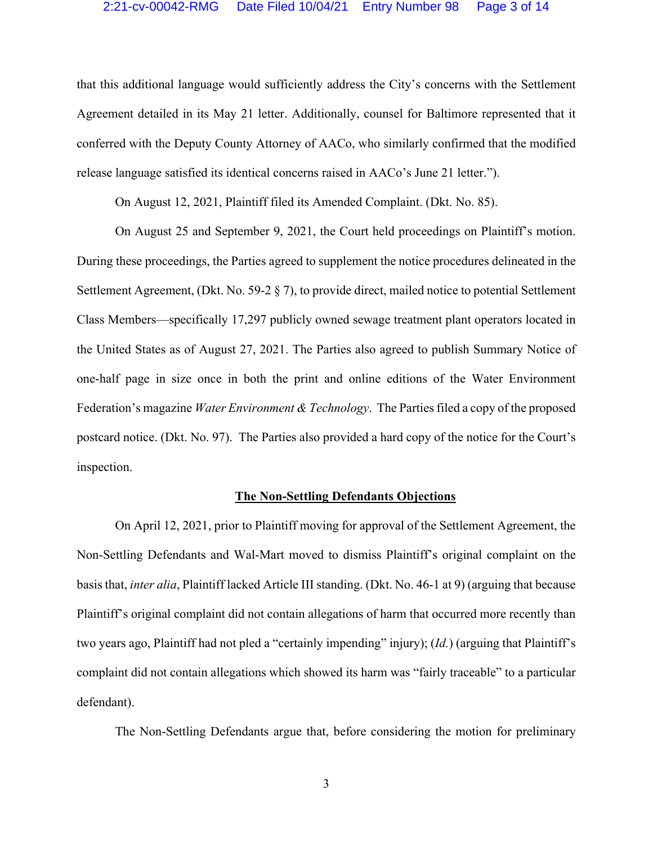that this additional language would sufficiently address the City's concerns with the Settlement Agreement detailed in its May 21 letter. Additionally, counsel for Baltimore represented that it conferred with the Deputy County Attorney of AACo, who similarly confirmed that the modified release language satisfied its identical concerns raised in AACo's June 21 letter.").

On August 12, 2021, Plaintiff filed its Amended Complaint. (Dkt. No. 85).

On August 25 and September 9, 2021, the Court held proceedings on Plaintiff's motion. During these proceedings, the Parties agreed to supplement the notice procedures delineated in the Settlement Agreement, (Dkt. No. 59-2 § 7), to provide direct, mailed notice to potential Settlement Class Members—specifically 17,297 publicly owned sewage treatment plant operators located in the United States as of August 27, 2021. The Parties also agreed to publish Summary Notice of one-half page in size once in both the print and online editions of the Water Environment Federation's magazine *Water Environment & Technology*. The Parties filed a copy of the proposed postcard notice. (Dkt. No. 97). The Parties also provided a hard copy of the notice for the Court's inspection.

### **The Non-Settling Defendants Objections**

On April 12, 2021, prior to Plaintiff moving for approval of the Settlement Agreement, the Non-Settling Defendants and Wal-Mart moved to dismiss Plaintiff's original complaint on the basis that, *inter alia*, Plaintiff lacked Article III standing. (Dkt. No. 46-1 at 9) (arguing that because Plaintiff's original complaint did not contain allegations of harm that occurred more recently than two years ago, Plaintiff had not pled a "certainly impending" injury); (*Id.*) (arguing that Plaintiff's complaint did not contain allegations which showed its harm was "fairly traceable" to a particular defendant).

The Non-Settling Defendants argue that, before considering the motion for preliminary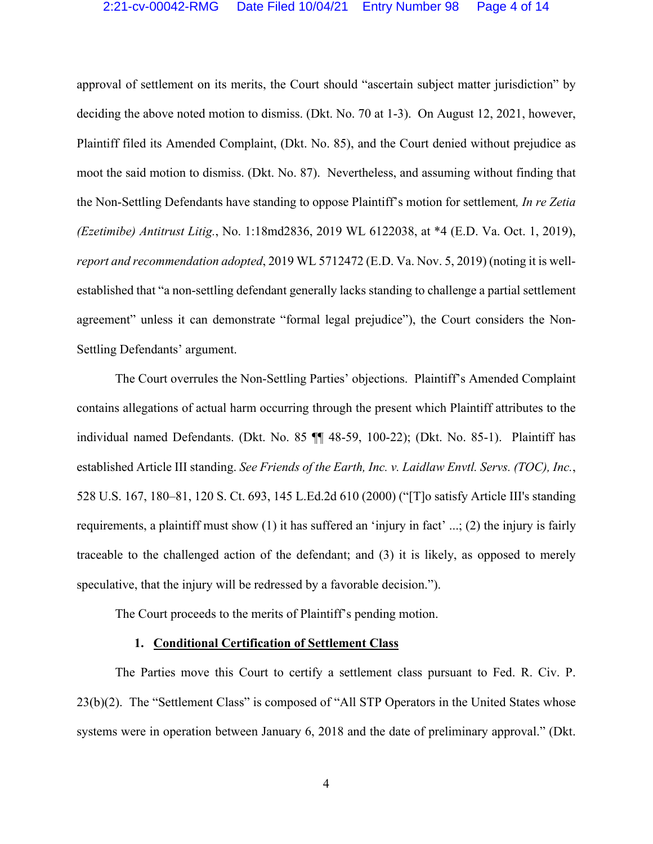approval of settlement on its merits, the Court should "ascertain subject matter jurisdiction" by deciding the above noted motion to dismiss. (Dkt. No. 70 at 1-3). On August 12, 2021, however, Plaintiff filed its Amended Complaint, (Dkt. No. 85), and the Court denied without prejudice as moot the said motion to dismiss. (Dkt. No. 87). Nevertheless, and assuming without finding that the Non-Settling Defendants have standing to oppose Plaintiff's motion for settlement*, In re Zetia (Ezetimibe) Antitrust Litig.*, No. 1:18md2836, 2019 WL 6122038, at \*4 (E.D. Va. Oct. 1, 2019), *report and recommendation adopted*, 2019 WL 5712472 (E.D. Va. Nov. 5, 2019) (noting it is wellestablished that "a non-settling defendant generally lacks standing to challenge a partial settlement agreement" unless it can demonstrate "formal legal prejudice"), the Court considers the Non-Settling Defendants' argument.

The Court overrules the Non-Settling Parties' objections. Plaintiff's Amended Complaint contains allegations of actual harm occurring through the present which Plaintiff attributes to the individual named Defendants. (Dkt. No. 85 ¶¶ 48-59, 100-22); (Dkt. No. 85-1). Plaintiff has established Article III standing. *See Friends of the Earth, Inc. v. Laidlaw Envtl. Servs. (TOC), Inc.*, 528 U.S. 167, 180–81, 120 S. Ct. 693, 145 L.Ed.2d 610 (2000) ("[T]o satisfy Article III's standing requirements, a plaintiff must show (1) it has suffered an 'injury in fact' ...; (2) the injury is fairly traceable to the challenged action of the defendant; and (3) it is likely, as opposed to merely speculative, that the injury will be redressed by a favorable decision.").

The Court proceeds to the merits of Plaintiff's pending motion.

#### **1. Conditional Certification of Settlement Class**

The Parties move this Court to certify a settlement class pursuant to Fed. R. Civ. P. 23(b)(2). The "Settlement Class" is composed of "All STP Operators in the United States whose systems were in operation between January 6, 2018 and the date of preliminary approval." (Dkt.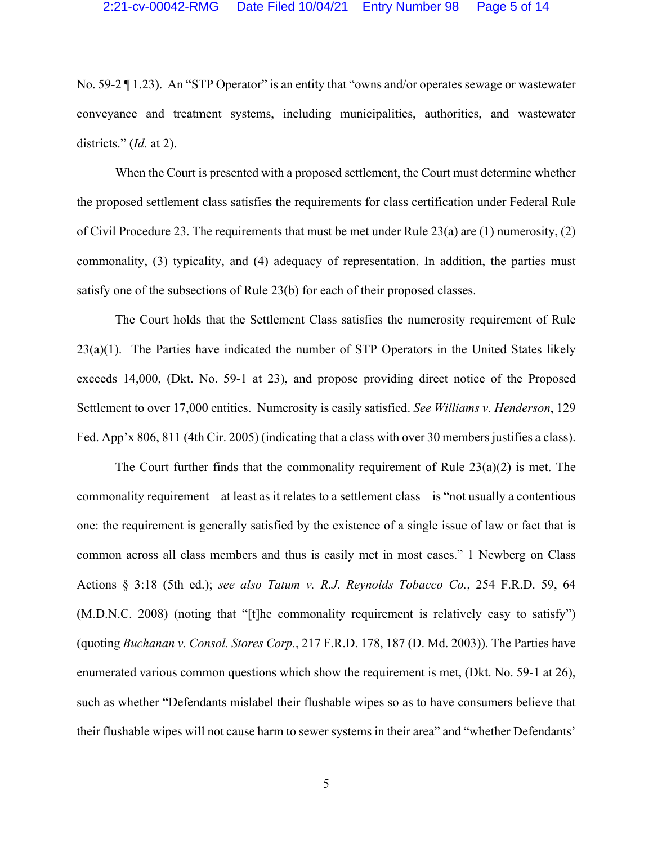No. 59-2 [1.23]. An "STP Operator" is an entity that "owns and/or operates sewage or wastewater conveyance and treatment systems, including municipalities, authorities, and wastewater districts." (*Id.* at 2).

When the Court is presented with a proposed settlement, the Court must determine whether the proposed settlement class satisfies the requirements for class certification under Federal Rule of Civil Procedure 23. The requirements that must be met under Rule 23(a) are (1) numerosity, (2) commonality, (3) typicality, and (4) adequacy of representation. In addition, the parties must satisfy one of the subsections of Rule 23(b) for each of their proposed classes.

The Court holds that the Settlement Class satisfies the numerosity requirement of Rule 23(a)(1). The Parties have indicated the number of STP Operators in the United States likely exceeds 14,000, (Dkt. No. 59-1 at 23), and propose providing direct notice of the Proposed Settlement to over 17,000 entities. Numerosity is easily satisfied. *See Williams v. Henderson*, 129 Fed. App'x 806, 811 (4th Cir. 2005) (indicating that a class with over 30 members justifies a class).

The Court further finds that the commonality requirement of Rule  $23(a)(2)$  is met. The commonality requirement – at least as it relates to a settlement class – is "not usually a contentious one: the requirement is generally satisfied by the existence of a single issue of law or fact that is common across all class members and thus is easily met in most cases." 1 Newberg on Class Actions § 3:18 (5th ed.); *see also Tatum v. R.J. Reynolds Tobacco Co.*, 254 F.R.D. 59, 64 (M.D.N.C. 2008) (noting that "[t]he commonality requirement is relatively easy to satisfy") (quoting *Buchanan v. Consol. Stores Corp.*, 217 F.R.D. 178, 187 (D. Md. 2003)). The Parties have enumerated various common questions which show the requirement is met, (Dkt. No. 59-1 at 26), such as whether "Defendants mislabel their flushable wipes so as to have consumers believe that their flushable wipes will not cause harm to sewer systems in their area" and "whether Defendants'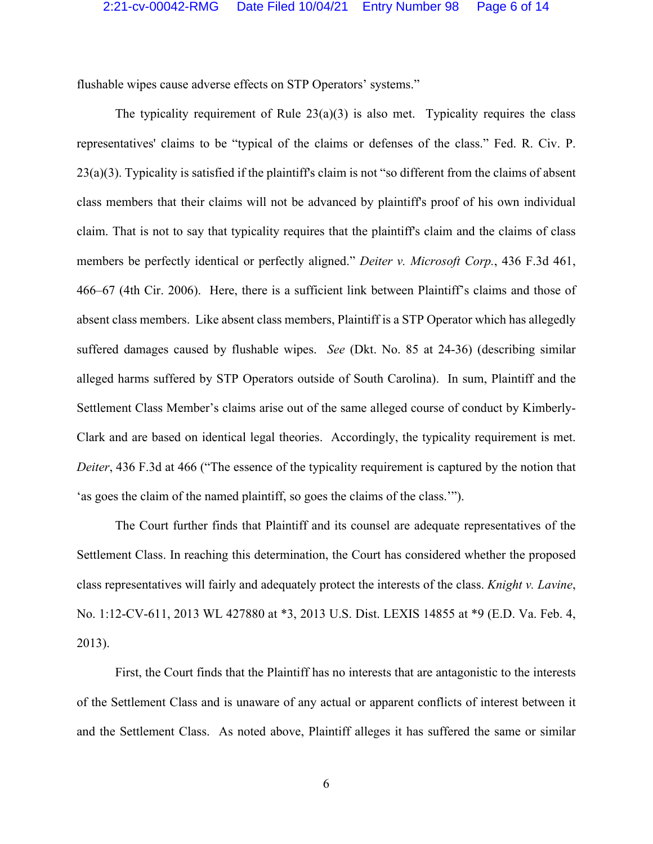flushable wipes cause adverse effects on STP Operators' systems."

The typicality requirement of Rule  $23(a)(3)$  is also met. Typicality requires the class representatives' claims to be "typical of the claims or defenses of the class." Fed. R. Civ. P. 23(a)(3). Typicality is satisfied if the plaintiff's claim is not "so different from the claims of absent class members that their claims will not be advanced by plaintiff's proof of his own individual claim. That is not to say that typicality requires that the plaintiff's claim and the claims of class members be perfectly identical or perfectly aligned." *Deiter v. Microsoft Corp.*, 436 F.3d 461, 466–67 (4th Cir. 2006). Here, there is a sufficient link between Plaintiff's claims and those of absent class members. Like absent class members, Plaintiff is a STP Operator which has allegedly suffered damages caused by flushable wipes. *See* (Dkt. No. 85 at 24-36) (describing similar alleged harms suffered by STP Operators outside of South Carolina). In sum, Plaintiff and the Settlement Class Member's claims arise out of the same alleged course of conduct by Kimberly-Clark and are based on identical legal theories. Accordingly, the typicality requirement is met. *Deiter*, 436 F.3d at 466 ("The essence of the typicality requirement is captured by the notion that 'as goes the claim of the named plaintiff, so goes the claims of the class.'").

The Court further finds that Plaintiff and its counsel are adequate representatives of the Settlement Class. In reaching this determination, the Court has considered whether the proposed class representatives will fairly and adequately protect the interests of the class. *Knight v. Lavine*, No. 1:12-CV-611, 2013 WL 427880 at \*3, 2013 U.S. Dist. LEXIS 14855 at \*9 (E.D. Va. Feb. 4, 2013).

First, the Court finds that the Plaintiff has no interests that are antagonistic to the interests of the Settlement Class and is unaware of any actual or apparent conflicts of interest between it and the Settlement Class. As noted above, Plaintiff alleges it has suffered the same or similar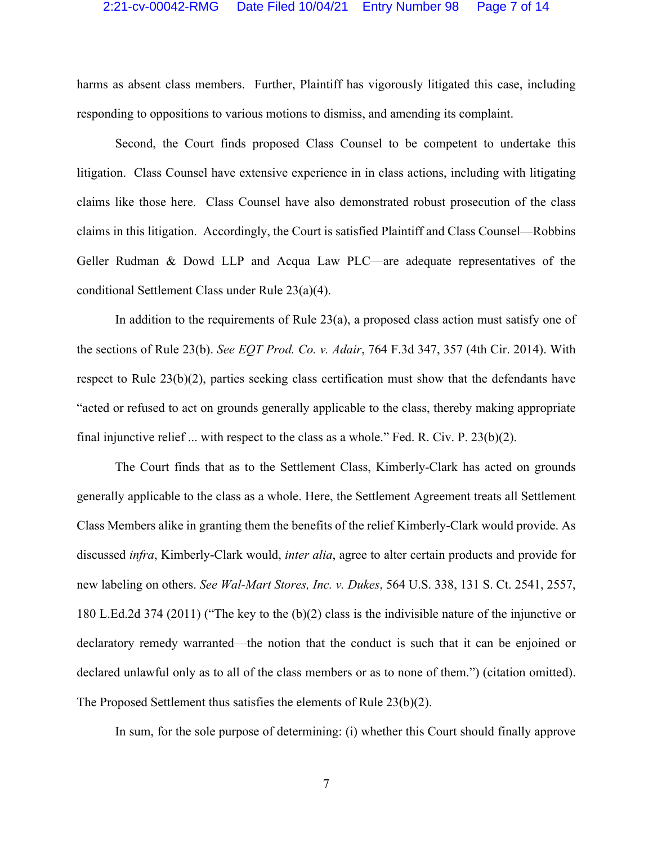### 2:21-cv-00042-RMG Date Filed 10/04/21 Entry Number 98 Page 7 of 14

harms as absent class members. Further, Plaintiff has vigorously litigated this case, including responding to oppositions to various motions to dismiss, and amending its complaint.

Second, the Court finds proposed Class Counsel to be competent to undertake this litigation. Class Counsel have extensive experience in in class actions, including with litigating claims like those here. Class Counsel have also demonstrated robust prosecution of the class claims in this litigation. Accordingly, the Court is satisfied Plaintiff and Class Counsel—Robbins Geller Rudman & Dowd LLP and Acqua Law PLC—are adequate representatives of the conditional Settlement Class under Rule 23(a)(4).

In addition to the requirements of Rule 23(a), a proposed class action must satisfy one of the sections of Rule 23(b). *See EQT Prod. Co. v. Adair*, 764 F.3d 347, 357 (4th Cir. 2014). With respect to Rule 23(b)(2), parties seeking class certification must show that the defendants have "acted or refused to act on grounds generally applicable to the class, thereby making appropriate final injunctive relief ... with respect to the class as a whole." Fed. R. Civ. P. 23(b)(2).

The Court finds that as to the Settlement Class, Kimberly-Clark has acted on grounds generally applicable to the class as a whole. Here, the Settlement Agreement treats all Settlement Class Members alike in granting them the benefits of the relief Kimberly-Clark would provide. As discussed *infra*, Kimberly-Clark would, *inter alia*, agree to alter certain products and provide for new labeling on others. *See Wal-Mart Stores, Inc. v. Dukes*, 564 U.S. 338, 131 S. Ct. 2541, 2557, 180 L.Ed.2d 374 (2011) ("The key to the (b)(2) class is the indivisible nature of the injunctive or declaratory remedy warranted—the notion that the conduct is such that it can be enjoined or declared unlawful only as to all of the class members or as to none of them.") (citation omitted). The Proposed Settlement thus satisfies the elements of Rule 23(b)(2).

In sum, for the sole purpose of determining: (i) whether this Court should finally approve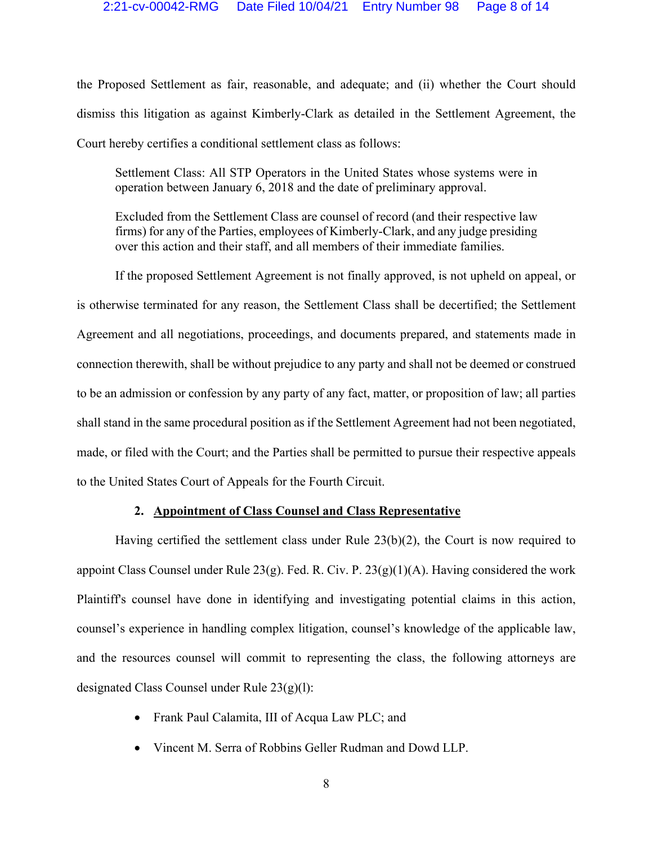the Proposed Settlement as fair, reasonable, and adequate; and (ii) whether the Court should dismiss this litigation as against Kimberly-Clark as detailed in the Settlement Agreement, the Court hereby certifies a conditional settlement class as follows:

Settlement Class: All STP Operators in the United States whose systems were in operation between January 6, 2018 and the date of preliminary approval.

Excluded from the Settlement Class are counsel of record (and their respective law firms) for any of the Parties, employees of Kimberly-Clark, and any judge presiding over this action and their staff, and all members of their immediate families.

If the proposed Settlement Agreement is not finally approved, is not upheld on appeal, or is otherwise terminated for any reason, the Settlement Class shall be decertified; the Settlement Agreement and all negotiations, proceedings, and documents prepared, and statements made in connection therewith, shall be without prejudice to any party and shall not be deemed or construed to be an admission or confession by any party of any fact, matter, or proposition of law; all parties shall stand in the same procedural position as if the Settlement Agreement had not been negotiated, made, or filed with the Court; and the Parties shall be permitted to pursue their respective appeals to the United States Court of Appeals for the Fourth Circuit.

### **2. Appointment of Class Counsel and Class Representative**

Having certified the settlement class under Rule 23(b)(2), the Court is now required to appoint Class Counsel under Rule  $23(g)$ . Fed. R. Civ. P.  $23(g)(1)(A)$ . Having considered the work Plaintiff's counsel have done in identifying and investigating potential claims in this action, counsel's experience in handling complex litigation, counsel's knowledge of the applicable law, and the resources counsel will commit to representing the class, the following attorneys are designated Class Counsel under Rule 23(g)(l):

- Frank Paul Calamita, III of Acqua Law PLC; and
- Vincent M. Serra of Robbins Geller Rudman and Dowd LLP.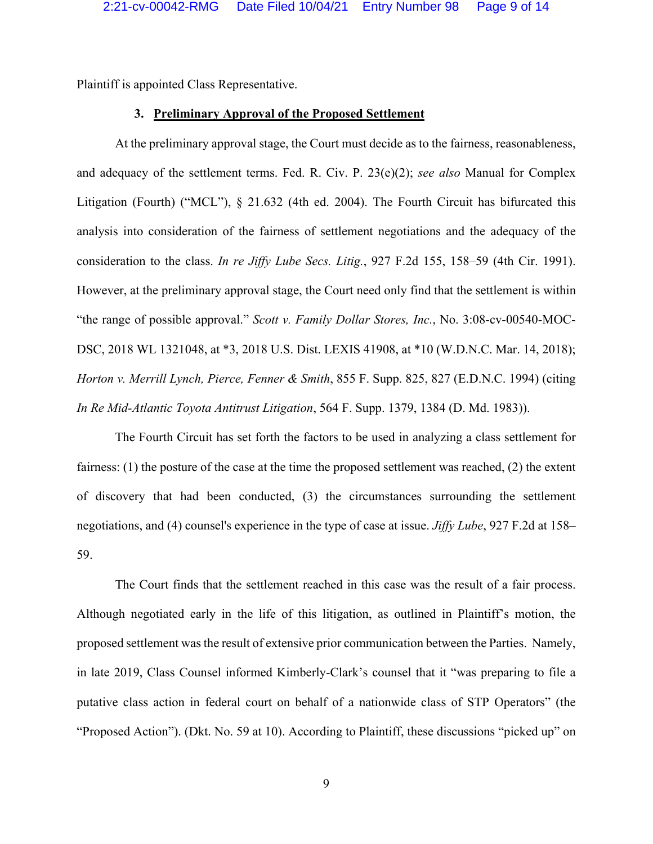Plaintiff is appointed Class Representative.

#### **3. Preliminary Approval of the Proposed Settlement**

At the preliminary approval stage, the Court must decide as to the fairness, reasonableness, and adequacy of the settlement terms. Fed. R. Civ. P. 23(e)(2); *see also* Manual for Complex Litigation (Fourth) ("MCL"), § 21.632 (4th ed. 2004). The Fourth Circuit has bifurcated this analysis into consideration of the fairness of settlement negotiations and the adequacy of the consideration to the class. *In re Jiffy Lube Secs. Litig.*, 927 F.2d 155, 158–59 (4th Cir. 1991). However, at the preliminary approval stage, the Court need only find that the settlement is within "the range of possible approval." *Scott v. Family Dollar Stores, Inc.*, No. 3:08-cv-00540-MOC-DSC, 2018 WL 1321048, at \*3, 2018 U.S. Dist. LEXIS 41908, at \*10 (W.D.N.C. Mar. 14, 2018); *Horton v. Merrill Lynch, Pierce, Fenner & Smith*, 855 F. Supp. 825, 827 (E.D.N.C. 1994) (citing *In Re Mid-Atlantic Toyota Antitrust Litigation*, 564 F. Supp. 1379, 1384 (D. Md. 1983)).

The Fourth Circuit has set forth the factors to be used in analyzing a class settlement for fairness: (1) the posture of the case at the time the proposed settlement was reached, (2) the extent of discovery that had been conducted, (3) the circumstances surrounding the settlement negotiations, and (4) counsel's experience in the type of case at issue. *Jiffy Lube*, 927 F.2d at 158– 59.

The Court finds that the settlement reached in this case was the result of a fair process. Although negotiated early in the life of this litigation, as outlined in Plaintiff's motion, the proposed settlement was the result of extensive prior communication between the Parties. Namely, in late 2019, Class Counsel informed Kimberly-Clark's counsel that it "was preparing to file a putative class action in federal court on behalf of a nationwide class of STP Operators" (the "Proposed Action"). (Dkt. No. 59 at 10). According to Plaintiff, these discussions "picked up" on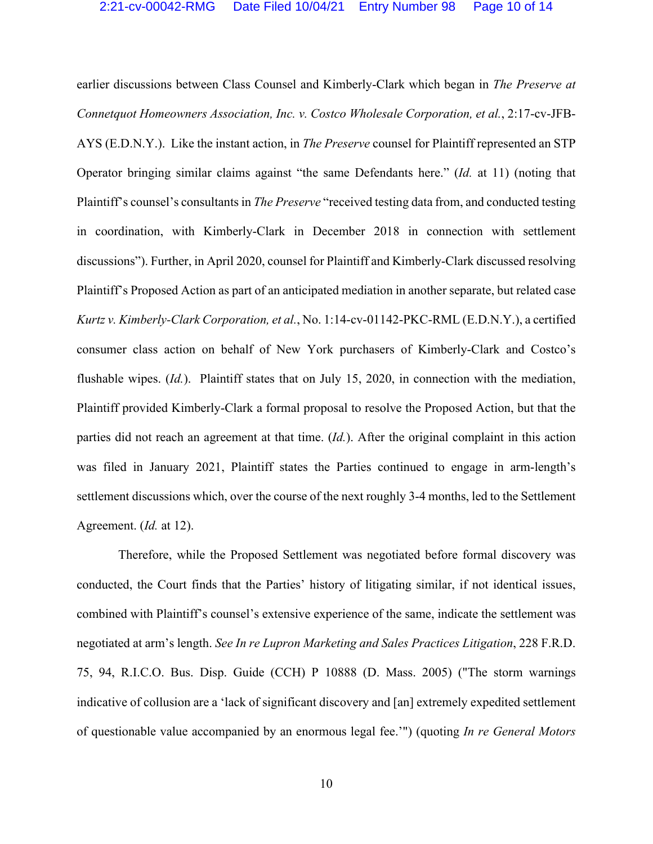earlier discussions between Class Counsel and Kimberly-Clark which began in *The Preserve at Connetquot Homeowners Association, Inc. v. Costco Wholesale Corporation, et al.*, 2:17-cv-JFB-AYS (E.D.N.Y.). Like the instant action, in *The Preserve* counsel for Plaintiff represented an STP Operator bringing similar claims against "the same Defendants here." (*Id.* at 11) (noting that Plaintiff's counsel's consultants in *The Preserve* "received testing data from, and conducted testing in coordination, with Kimberly-Clark in December 2018 in connection with settlement discussions"). Further, in April 2020, counsel for Plaintiff and Kimberly-Clark discussed resolving Plaintiff's Proposed Action as part of an anticipated mediation in another separate, but related case *Kurtz v. Kimberly-Clark Corporation, et al.*, No. 1:14-cv-01142-PKC-RML (E.D.N.Y.), a certified consumer class action on behalf of New York purchasers of Kimberly-Clark and Costco's flushable wipes. (*Id.*). Plaintiff states that on July 15, 2020, in connection with the mediation, Plaintiff provided Kimberly-Clark a formal proposal to resolve the Proposed Action, but that the parties did not reach an agreement at that time. (*Id.*). After the original complaint in this action was filed in January 2021, Plaintiff states the Parties continued to engage in arm-length's settlement discussions which, over the course of the next roughly 3-4 months, led to the Settlement Agreement. (*Id.* at 12).

 Therefore, while the Proposed Settlement was negotiated before formal discovery was conducted, the Court finds that the Parties' history of litigating similar, if not identical issues, combined with Plaintiff's counsel's extensive experience of the same, indicate the settlement was negotiated at arm's length. *See In re Lupron Marketing and Sales Practices Litigation*, 228 F.R.D. 75, 94, R.I.C.O. Bus. Disp. Guide (CCH) P 10888 (D. Mass. 2005) ("The storm warnings indicative of collusion are a 'lack of significant discovery and [an] extremely expedited settlement of questionable value accompanied by an enormous legal fee.'") (quoting *In re General Motors*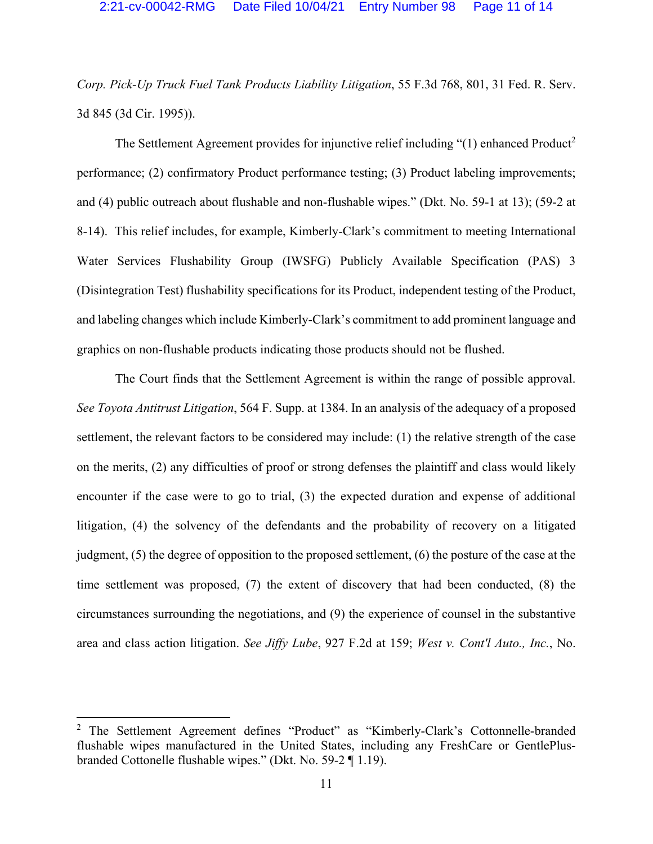*Corp. Pick-Up Truck Fuel Tank Products Liability Litigation*, 55 F.3d 768, 801, 31 Fed. R. Serv. 3d 845 (3d Cir. 1995)).

The Settlement Agreement provides for injunctive relief including " $(1)$  enhanced Product<sup>2</sup> performance; (2) confirmatory Product performance testing; (3) Product labeling improvements; and (4) public outreach about flushable and non-flushable wipes." (Dkt. No. 59-1 at 13); (59-2 at 8-14). This relief includes, for example, Kimberly-Clark's commitment to meeting International Water Services Flushability Group (IWSFG) Publicly Available Specification (PAS) 3 (Disintegration Test) flushability specifications for its Product, independent testing of the Product, and labeling changes which include Kimberly-Clark's commitment to add prominent language and graphics on non-flushable products indicating those products should not be flushed.

The Court finds that the Settlement Agreement is within the range of possible approval. *See Toyota Antitrust Litigation*, 564 F. Supp. at 1384. In an analysis of the adequacy of a proposed settlement, the relevant factors to be considered may include: (1) the relative strength of the case on the merits, (2) any difficulties of proof or strong defenses the plaintiff and class would likely encounter if the case were to go to trial, (3) the expected duration and expense of additional litigation, (4) the solvency of the defendants and the probability of recovery on a litigated judgment, (5) the degree of opposition to the proposed settlement, (6) the posture of the case at the time settlement was proposed, (7) the extent of discovery that had been conducted, (8) the circumstances surrounding the negotiations, and (9) the experience of counsel in the substantive area and class action litigation. *See Jiffy Lube*, 927 F.2d at 159; *West v. Cont'l Auto., Inc.*, No.

<sup>&</sup>lt;sup>2</sup> The Settlement Agreement defines "Product" as "Kimberly-Clark's Cottonnelle-branded flushable wipes manufactured in the United States, including any FreshCare or GentlePlusbranded Cottonelle flushable wipes." (Dkt. No. 59-2 ¶ 1.19).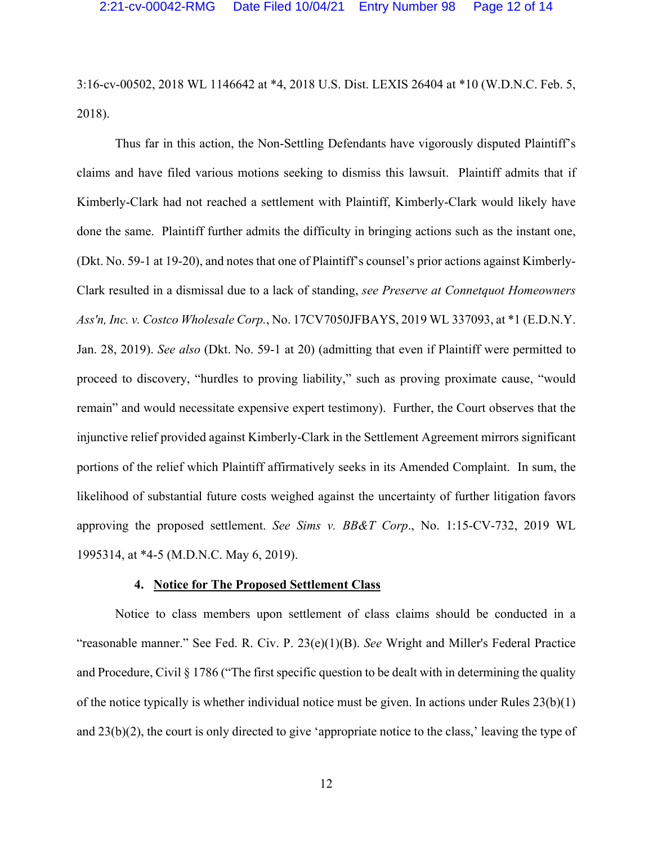3:16-cv-00502, 2018 WL 1146642 at \*4, 2018 U.S. Dist. LEXIS 26404 at \*10 (W.D.N.C. Feb. 5, 2018).

Thus far in this action, the Non-Settling Defendants have vigorously disputed Plaintiff's claims and have filed various motions seeking to dismiss this lawsuit. Plaintiff admits that if Kimberly-Clark had not reached a settlement with Plaintiff, Kimberly-Clark would likely have done the same. Plaintiff further admits the difficulty in bringing actions such as the instant one, (Dkt. No. 59-1 at 19-20), and notes that one of Plaintiff's counsel's prior actions against Kimberly-Clark resulted in a dismissal due to a lack of standing, *see Preserve at Connetquot Homeowners Ass'n, Inc. v. Costco Wholesale Corp.*, No. 17CV7050JFBAYS, 2019 WL 337093, at \*1 (E.D.N.Y. Jan. 28, 2019). *See also* (Dkt. No. 59-1 at 20) (admitting that even if Plaintiff were permitted to proceed to discovery, "hurdles to proving liability," such as proving proximate cause, "would remain" and would necessitate expensive expert testimony). Further, the Court observes that the injunctive relief provided against Kimberly-Clark in the Settlement Agreement mirrors significant portions of the relief which Plaintiff affirmatively seeks in its Amended Complaint. In sum, the likelihood of substantial future costs weighed against the uncertainty of further litigation favors approving the proposed settlement. *See Sims v. BB&T Corp*., No. 1:15-CV-732, 2019 WL 1995314, at \*4-5 (M.D.N.C. May 6, 2019).

## **4. Notice for The Proposed Settlement Class**

Notice to class members upon settlement of class claims should be conducted in a "reasonable manner." See Fed. R. Civ. P. 23(e)(1)(B). *See* Wright and Miller's Federal Practice and Procedure, Civil § 1786 ("The first specific question to be dealt with in determining the quality of the notice typically is whether individual notice must be given. In actions under Rules 23(b)(1) and 23(b)(2), the court is only directed to give 'appropriate notice to the class,' leaving the type of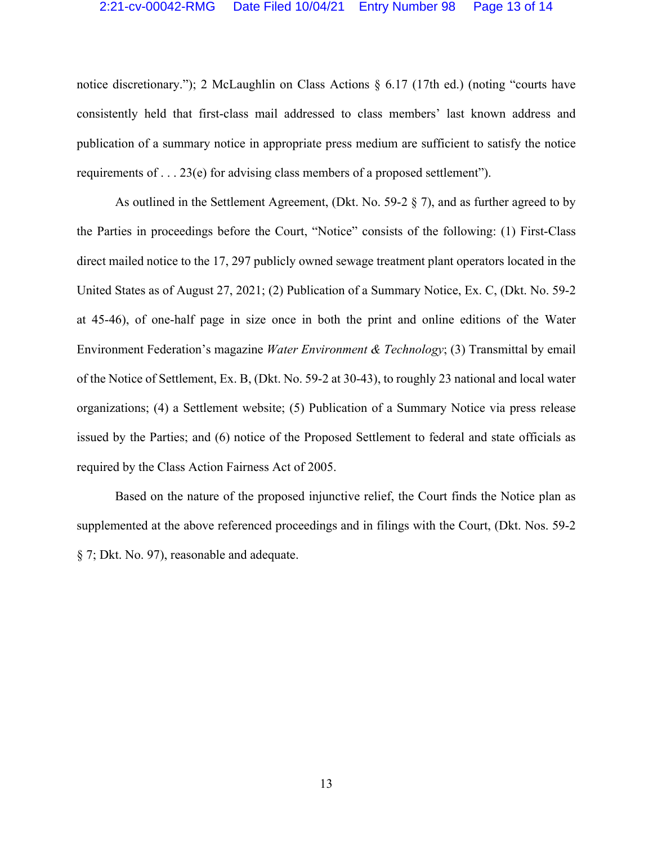#### 2:21-cv-00042-RMG Date Filed 10/04/21 Entry Number 98 Page 13 of 14

notice discretionary."); 2 McLaughlin on Class Actions § 6.17 (17th ed.) (noting "courts have consistently held that first-class mail addressed to class members' last known address and publication of a summary notice in appropriate press medium are sufficient to satisfy the notice requirements of . . . 23(e) for advising class members of a proposed settlement").

As outlined in the Settlement Agreement, (Dkt. No. 59-2 § 7), and as further agreed to by the Parties in proceedings before the Court, "Notice" consists of the following: (1) First-Class direct mailed notice to the 17, 297 publicly owned sewage treatment plant operators located in the United States as of August 27, 2021; (2) Publication of a Summary Notice, Ex. C, (Dkt. No. 59-2 at 45-46), of one-half page in size once in both the print and online editions of the Water Environment Federation's magazine *Water Environment & Technology*; (3) Transmittal by email of the Notice of Settlement, Ex. B, (Dkt. No. 59-2 at 30-43), to roughly 23 national and local water organizations; (4) a Settlement website; (5) Publication of a Summary Notice via press release issued by the Parties; and (6) notice of the Proposed Settlement to federal and state officials as required by the Class Action Fairness Act of 2005.

Based on the nature of the proposed injunctive relief, the Court finds the Notice plan as supplemented at the above referenced proceedings and in filings with the Court, (Dkt. Nos. 59-2 § 7; Dkt. No. 97), reasonable and adequate.